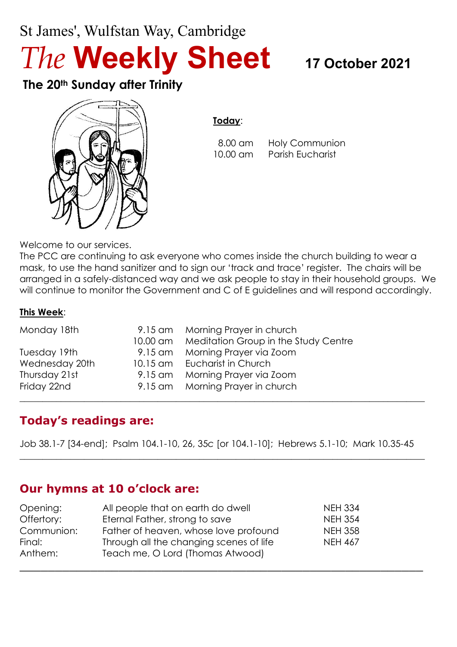# St James', Wulfstan Way, Cambridge *The* **Weekly Sheet <sup>17</sup> October <sup>2021</sup>**

**The 20th Sunday after Trinity**



#### **Today**:

 8.00 am Holy Communion 10.00 am Parish Eucharist

Welcome to our services.

The PCC are continuing to ask everyone who comes inside the church building to wear a mask, to use the hand sanitizer and to sign our 'track and trace' register. The chairs will be arranged in a safely-distanced way and we ask people to stay in their household groups. We will continue to monitor the Government and C of E guidelines and will respond accordingly.

#### **This Week**:

| Monday 18th    | 9.15 am Morning Prayer in church              |
|----------------|-----------------------------------------------|
|                | 10.00 am Meditation Group in the Study Centre |
| Tuesday 19th   | 9.15 am Morning Prayer via Zoom               |
| Wednesday 20th | 10.15 am Eucharist in Church                  |
| Thursday 21st  | 9.15 am Morning Prayer via Zoom               |
| Friday 22nd    | 9.15 am Morning Prayer in church              |

# **Today's readings are:**

Job 38.1-7 [34-end]; Psalm 104.1-10, 26, 35*c* [or 104.1-10]; Hebrews 5.1-10; Mark 10.35-45

 $\_$  , and the set of the set of the set of the set of the set of the set of the set of the set of the set of the set of the set of the set of the set of the set of the set of the set of the set of the set of the set of th

\_\_\_\_\_\_\_\_\_\_\_\_\_\_\_\_\_\_\_\_\_\_\_\_\_\_\_\_\_\_\_\_\_\_\_\_\_\_\_\_\_\_\_\_\_\_\_\_\_\_\_\_\_\_\_\_\_

 $\_$  , and the set of the set of the set of the set of the set of the set of the set of the set of the set of the set of the set of the set of the set of the set of the set of the set of the set of the set of the set of th

# **Our hymns at 10 o'clock are:**

| Opening:   | All people that on earth do dwell       | <b>NEH 334</b> |
|------------|-----------------------------------------|----------------|
| Offertory: | Eternal Father, strong to save          | <b>NEH 354</b> |
| Communion: | Father of heaven, whose love profound   | <b>NEH 358</b> |
| Final:     | Through all the changing scenes of life | <b>NEH 467</b> |
| Anthem:    | Teach me, O Lord (Thomas Atwood)        |                |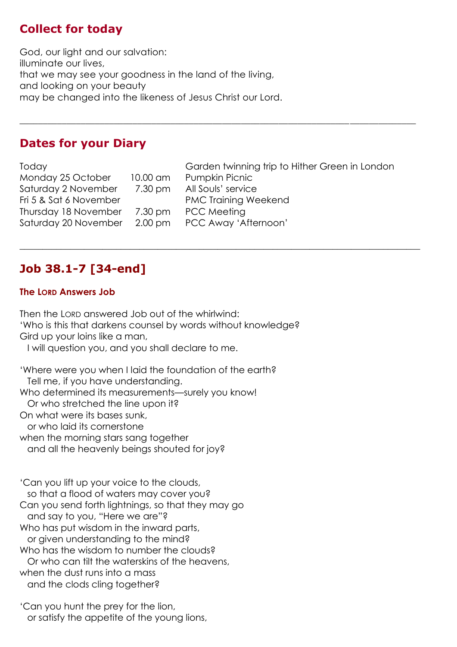## **Collect for today**

God, our light and our salvation: illuminate our lives, that we may see your goodness in the land of the living, and looking on your beauty may be changed into the likeness of Jesus Christ our Lord.

#### **Dates for your Diary**

Today Garden twinning trip to Hither Green in London Monday 25 October 10.00 am Pumpkin Picnic Saturday 2 November 7.30 pm All Souls' service Fri 5 & Sat 6 November PMC Training Weekend Thursday 18 November 7.30 pm PCC Meeting Saturday 20 November 2.00 pm PCC Away 'Afternoon'

 $\_$  , and the set of the set of the set of the set of the set of the set of the set of the set of the set of the set of the set of the set of the set of the set of the set of the set of the set of the set of the set of th

\_\_\_\_\_\_\_\_\_\_\_\_\_\_\_\_\_\_\_\_\_\_\_\_\_\_\_\_\_\_\_\_\_\_\_\_\_\_\_\_\_\_\_\_\_\_\_\_\_\_\_\_\_\_\_\_\_\_\_\_\_\_\_\_\_\_\_\_\_\_\_\_\_\_\_\_\_\_\_\_\_\_\_\_

# **Job 38.1-7 [34-end]**

#### **The LORD Answers Job**

Then the LORD answered Job out of the whirlwind: 'Who is this that darkens counsel by words without knowledge? Gird up your loins like a man, I will question you, and you shall declare to me. 'Where were you when I laid the foundation of the earth? Tell me, if you have understanding. Who determined its measurements—surely you know! Or who stretched the line upon it?

On what were its bases sunk,

or who laid its cornerstone

when the morning stars sang together

and all the heavenly beings shouted for joy?

'Can you lift up your voice to the clouds, so that a flood of waters may cover you? Can you send forth lightnings, so that they may go and say to you, "Here we are"? Who has put wisdom in the inward parts, or given understanding to the mind? Who has the wisdom to number the clouds? Or who can tilt the waterskins of the heavens, when the dust runs into a mass and the clods cling together?

'Can you hunt the prey for the lion, or satisfy the appetite of the young lions,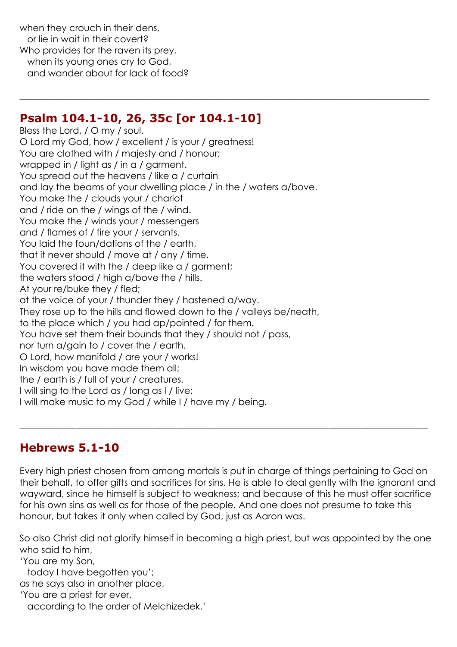when they crouch in their dens, or lie in wait in their covert? Who provides for the raven its prey, when its young ones cry to God, and wander about for lack of food?

#### **Psalm 104.1-10, 26, 35c [or 104.1-10]**

Bless the Lord, / O my / soul, O Lord my God, how / excellent / is your / greatness! You are clothed with / majesty and / honour; wrapped in / light as / in a / garment. You spread out the heavens / like a / curtain and lay the beams of your dwelling place / in the / waters a/bove. You make the / clouds your / chariot and / ride on the / wings of the / wind. You make the / winds your / messengers and / flames of / fire your / servants. You laid the foun/dations of the / earth, that it never should / move at / any / time. You covered it with the / deep like a / garment; the waters stood / high a/bove the / hills. At your re/buke they / fled; at the voice of your / thunder they / hastened a/way. They rose up to the hills and flowed down to the / valleys be/neath, to the place which / you had ap/pointed / for them. You have set them their bounds that they / should not / pass, nor turn a/gain to / cover the / earth. O Lord, how manifold / are your / works! In wisdom you have made them all; the / earth is / full of your / creatures. I will sing to the Lord as / long as I / live; I will make music to my God / while I / have my / being.

 $\_$  , and the set of the set of the set of the set of the set of the set of the set of the set of the set of the set of the set of the set of the set of the set of the set of the set of the set of the set of the set of th

#### **Hebrews 5.1-10**

Every high priest chosen from among mortals is put in charge of things pertaining to God on their behalf, to offer gifts and sacrifices for sins. He is able to deal gently with the ignorant and wayward, since he himself is subject to weakness; and because of this he must offer sacrifice for his own sins as well as for those of the people. And one does not presume to take this honour, but takes it only when called by God, just as Aaron was.

\_\_\_\_\_\_\_\_\_\_\_\_\_\_\_\_\_\_\_\_\_\_\_\_\_\_\_\_\_\_\_\_\_\_\_\_\_\_\_\_\_\_\_\_\_\_\_\_\_\_\_\_\_\_\_\_\_\_\_\_\_\_\_\_\_\_\_\_\_\_\_\_\_\_\_\_\_\_\_\_\_\_\_\_\_\_

So also Christ did not glorify himself in becoming a high priest, but was appointed by the one who said to him,

'You are my Son,

today I have begotten you';

as he says also in another place,

'You are a priest for ever,

according to the order of Melchizedek.'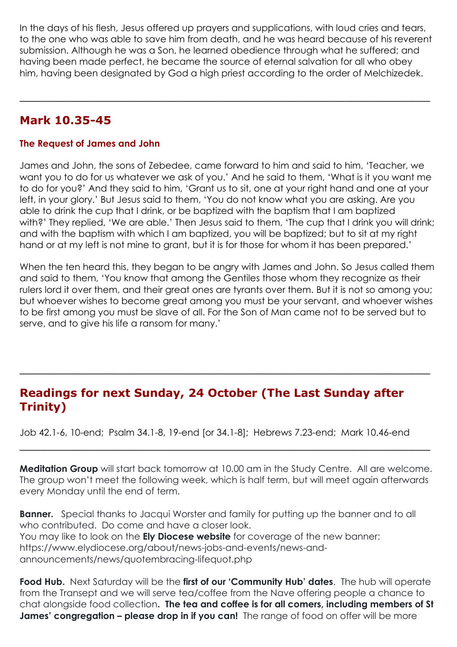In the days of his flesh, Jesus offered up prayers and supplications, with loud cries and tears, to the one who was able to save him from death, and he was heard because of his reverent submission. Although he was a Son, he learned obedience through what he suffered; and having been made perfect, he became the source of eternal salvation for all who obey him, having been designated by God a high priest according to the order of Melchizedek.

\_\_\_\_\_\_\_\_\_\_\_\_\_\_\_\_\_\_\_\_\_\_\_\_\_\_\_\_\_\_\_\_\_\_\_\_\_\_\_\_\_\_\_\_\_\_\_\_\_\_\_\_\_\_\_\_\_\_

#### **Mark 10.35-45**

#### **The Request of James and John**

James and John, the sons of Zebedee, came forward to him and said to him, 'Teacher, we want you to do for us whatever we ask of you.' And he said to them, 'What is it you want me to do for you?' And they said to him, 'Grant us to sit, one at your right hand and one at your left, in your glory.' But Jesus said to them, 'You do not know what you are asking. Are you able to drink the cup that I drink, or be baptized with the baptism that I am baptized with?' They replied, 'We are able.' Then Jesus said to them, 'The cup that I drink you will drink; and with the baptism with which I am baptized, you will be baptized; but to sit at my right hand or at my left is not mine to grant, but it is for those for whom it has been prepared.'

When the ten heard this, they began to be angry with James and John. So Jesus called them and said to them, 'You know that among the Gentiles those whom they recognize as their rulers lord it over them, and their great ones are tyrants over them. But it is not so among you; but whoever wishes to become great among you must be your servant, and whoever wishes to be first among you must be slave of all. For the Son of Man came not to be served but to serve, and to give his life a ransom for many.'

#### **Readings for next Sunday, 24 October (The Last Sunday after Trinity)**

\_\_\_\_\_\_\_\_\_\_\_\_\_\_\_\_\_\_\_\_\_\_\_\_\_\_\_\_\_\_\_\_\_\_\_\_\_\_\_\_\_\_\_\_\_\_\_\_\_\_\_\_\_\_\_\_\_\_

Job 42.1-6, 10-end; Psalm 34.1-8, 19-end [or 34.1-8]; Hebrews 7.23-end; Mark 10.46-end

**Meditation Group** will start back tomorrow at 10.00 am in the Study Centre. All are welcome. The group won't meet the following week, which is half term, but will meet again afterwards every Monday until the end of term.

\_\_\_\_\_\_\_\_\_\_\_\_\_\_\_\_\_\_\_\_\_\_\_\_\_\_\_\_\_\_\_\_\_\_\_\_\_\_\_\_\_\_\_\_\_\_\_\_\_\_\_\_\_\_\_\_\_\_

**Banner.** Special thanks to Jacqui Worster and family for putting up the banner and to all who contributed. Do come and have a closer look. You may like to look on the **Ely Diocese website** for coverage of the new banner: https://www.elydiocese.org/about/news-jobs-and-events/news-andannouncements/news/quotembracing-lifequot.php

**Food Hub.** Next Saturday will be the **first of our 'Community Hub' dates**. The hub will operate from the Transept and we will serve tea/coffee from the Nave offering people a chance to chat alongside food collection**. The tea and coffee is for all comers, including members of St James' congregation – please drop in if you can!** The range of food on offer will be more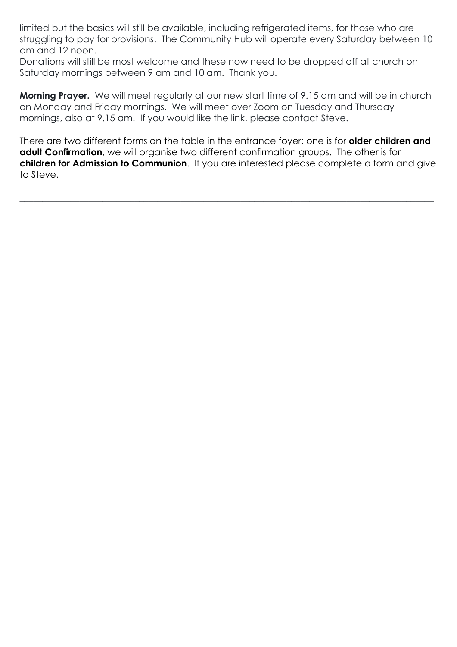limited but the basics will still be available, including refrigerated items, for those who are struggling to pay for provisions. The Community Hub will operate every Saturday between 10 am and 12 noon.

Donations will still be most welcome and these now need to be dropped off at church on Saturday mornings between 9 am and 10 am. Thank you.

**Morning Prayer.** We will meet regularly at our new start time of 9.15 am and will be in church on Monday and Friday mornings. We will meet over Zoom on Tuesday and Thursday mornings, also at 9.15 am. If you would like the link, please contact Steve.

There are two different forms on the table in the entrance foyer; one is for **older children and adult Confirmation**, we will organise two different confirmation groups. The other is for **children for Admission to Communion**. If you are interested please complete a form and give to Steve.

 $\_$  , and the set of the set of the set of the set of the set of the set of the set of the set of the set of the set of the set of the set of the set of the set of the set of the set of the set of the set of the set of th